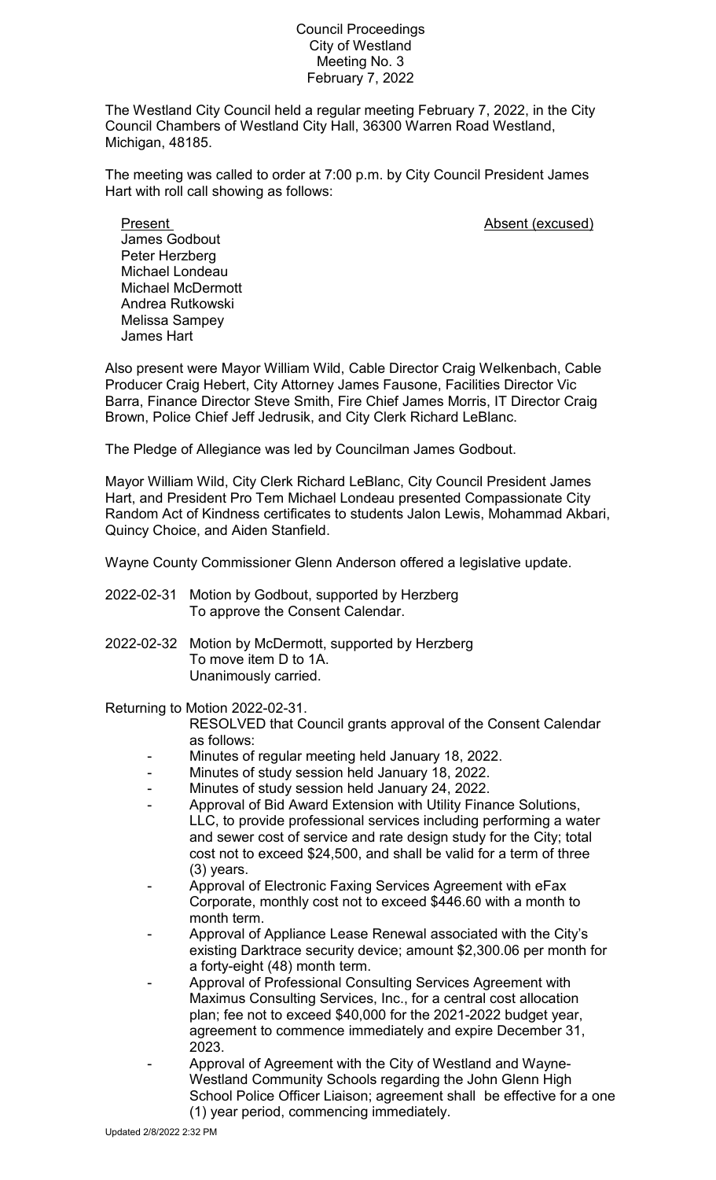Council Proceedings City of Westland Meeting No. 3 February 7, 2022

The Westland City Council held a regular meeting February 7, 2022, in the City Council Chambers of Westland City Hall, 36300 Warren Road Westland, Michigan, 48185.

The meeting was called to order at 7:00 p.m. by City Council President James Hart with roll call showing as follows:

Present **Absent** (excused)

James Godbout Peter Herzberg Michael Londeau Michael McDermott Andrea Rutkowski Melissa Sampey James Hart

Also present were Mayor William Wild, Cable Director Craig Welkenbach, Cable Producer Craig Hebert, City Attorney James Fausone, Facilities Director Vic Barra, Finance Director Steve Smith, Fire Chief James Morris, IT Director Craig Brown, Police Chief Jeff Jedrusik, and City Clerk Richard LeBlanc.

The Pledge of Allegiance was led by Councilman James Godbout.

Mayor William Wild, City Clerk Richard LeBlanc, City Council President James Hart, and President Pro Tem Michael Londeau presented Compassionate City Random Act of Kindness certificates to students Jalon Lewis, Mohammad Akbari, Quincy Choice, and Aiden Stanfield.

Wayne County Commissioner Glenn Anderson offered a legislative update.

- 2022-02-31 Motion by Godbout, supported by Herzberg To approve the Consent Calendar.
- 2022-02-32 Motion by McDermott, supported by Herzberg To move item D to 1A. Unanimously carried.

Returning to Motion 2022-02-31.

- RESOLVED that Council grants approval of the Consent Calendar as follows:
- Minutes of regular meeting held January 18, 2022.
- Minutes of study session held January 18, 2022.
- Minutes of study session held January 24, 2022.
- Approval of Bid Award Extension with Utility Finance Solutions, LLC, to provide professional services including performing a water and sewer cost of service and rate design study for the City; total cost not to exceed \$24,500, and shall be valid for a term of three (3) years.
- Approval of Electronic Faxing Services Agreement with eFax Corporate, monthly cost not to exceed \$446.60 with a month to month term.
- Approval of Appliance Lease Renewal associated with the City's existing Darktrace security device; amount \$2,300.06 per month for a forty-eight (48) month term.
- Approval of Professional Consulting Services Agreement with Maximus Consulting Services, Inc., for a central cost allocation plan; fee not to exceed \$40,000 for the 2021-2022 budget year, agreement to commence immediately and expire December 31, 2023.
- Approval of Agreement with the City of Westland and Wayne-Westland Community Schools regarding the John Glenn High School Police Officer Liaison; agreement shall be effective for a one (1) year period, commencing immediately.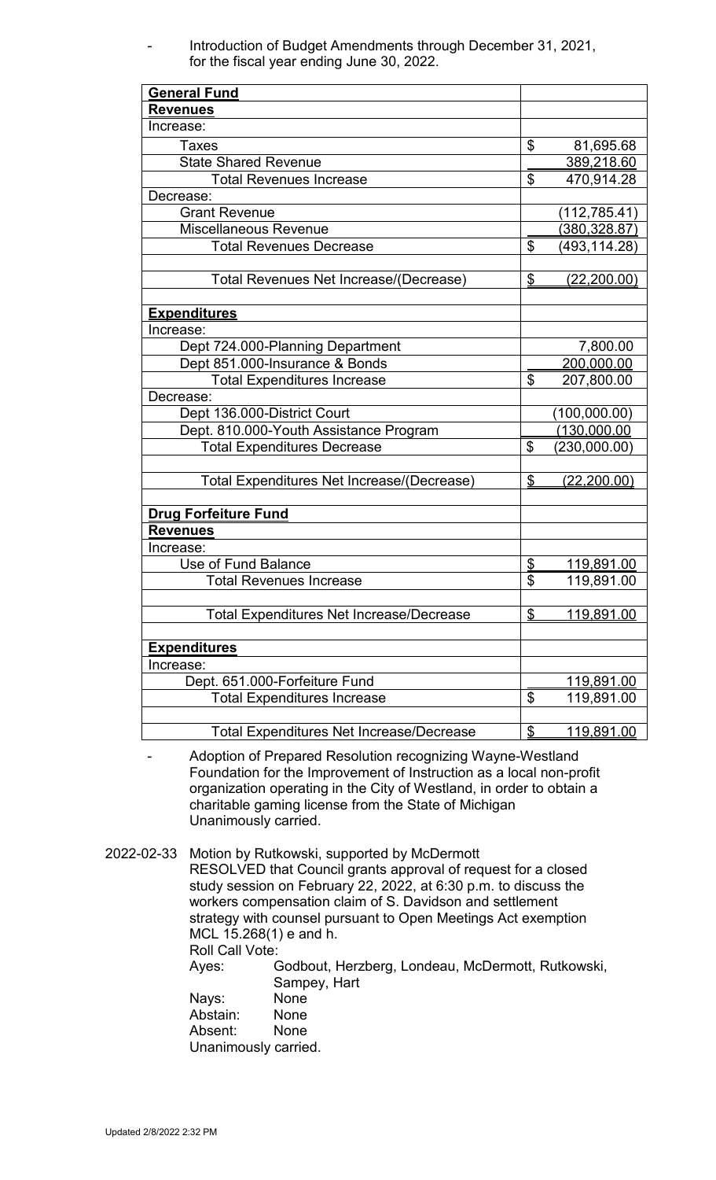Introduction of Budget Amendments through December 31, 2021, for the fiscal year ending June 30, 2022.

| <b>General Fund</b>                             |                |                    |
|-------------------------------------------------|----------------|--------------------|
| <b>Revenues</b>                                 |                |                    |
| Increase:                                       |                |                    |
| Taxes                                           | \$             | 81,695.68          |
| <b>State Shared Revenue</b>                     |                | 389,218.60         |
| <b>Total Revenues Increase</b>                  | \$             | 470,914.28         |
| Decrease:                                       |                |                    |
| <b>Grant Revenue</b>                            |                | (112, 785.41)      |
| <b>Miscellaneous Revenue</b>                    |                | (380, 328.87)      |
| <b>Total Revenues Decrease</b>                  | \$             | (493,114.28)       |
|                                                 |                |                    |
| Total Revenues Net Increase/(Decrease)          | $\frac{1}{2}$  | <u>(22,200.00)</u> |
|                                                 |                |                    |
| <u>Expenditures</u>                             |                |                    |
| Increase:                                       |                |                    |
| Dept 724.000-Planning Department                |                | 7,800.00           |
| Dept 851.000-Insurance & Bonds                  |                | 200,000.00         |
| <b>Total Expenditures Increase</b>              | \$             | 207,800.00         |
| Decrease:                                       |                |                    |
| Dept 136.000-District Court                     |                | (100,000.00)       |
| Dept. 810.000-Youth Assistance Program          |                | (130,000.00)       |
| <b>Total Expenditures Decrease</b>              | \$             | (230,000.00)       |
|                                                 |                |                    |
| Total Expenditures Net Increase/(Decrease)      | \$             | <u>(22,200.00)</u> |
|                                                 |                |                    |
| <b>Drug Forfeiture Fund</b>                     |                |                    |
| <b>Revenues</b>                                 |                |                    |
| Increase:                                       |                |                    |
| Use of Fund Balance                             | \$             | 119,891.00         |
| <b>Total Revenues Increase</b>                  | \$             | 119,891.00         |
|                                                 |                |                    |
| <b>Total Expenditures Net Increase/Decrease</b> | \$             | <u>119,891.00</u>  |
|                                                 |                |                    |
| <b>Expenditures</b>                             |                |                    |
| Increase:                                       |                |                    |
| Dept. 651.000-Forfeiture Fund                   |                | <u>119,891.00</u>  |
| <b>Total Expenditures Increase</b>              | \$             | 119,891.00         |
|                                                 |                |                    |
| <b>Total Expenditures Net Increase/Decrease</b> | $\mathfrak{D}$ | <u>119,891.00</u>  |

- Adoption of Prepared Resolution recognizing Wayne-Westland Foundation for the Improvement of Instruction as a local non-profit organization operating in the City of Westland, in order to obtain a charitable gaming license from the State of Michigan Unanimously carried.

2022-02-33 Motion by Rutkowski, supported by McDermott RESOLVED that Council grants approval of request for a closed study session on February 22, 2022, at 6:30 p.m. to discuss the workers compensation claim of S. Davidson and settlement strategy with counsel pursuant to Open Meetings Act exemption MCL 15.268(1) e and h. Roll Call Vote: Ayes: Godbout, Herzberg, Londeau, McDermott, Rutkowski, Sampey, Hart Nays: None Abstain: None Absent: None Unanimously carried.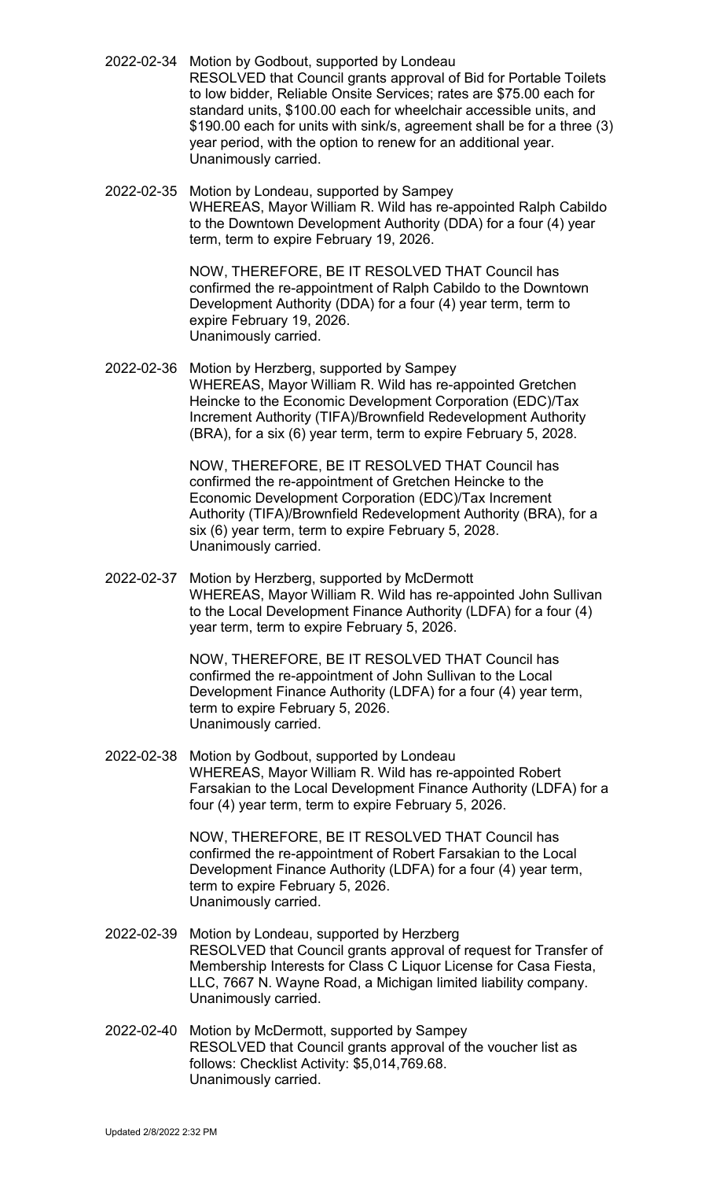- 2022-02-34 Motion by Godbout, supported by Londeau RESOLVED that Council grants approval of Bid for Portable Toilets to low bidder, Reliable Onsite Services; rates are \$75.00 each for standard units, \$100.00 each for wheelchair accessible units, and \$190.00 each for units with sink/s, agreement shall be for a three (3) year period, with the option to renew for an additional year. Unanimously carried.
- 2022-02-35 Motion by Londeau, supported by Sampey WHEREAS, Mayor William R. Wild has re-appointed Ralph Cabildo to the Downtown Development Authority (DDA) for a four (4) year term, term to expire February 19, 2026.

NOW, THEREFORE, BE IT RESOLVED THAT Council has confirmed the re-appointment of Ralph Cabildo to the Downtown Development Authority (DDA) for a four (4) year term, term to expire February 19, 2026. Unanimously carried.

2022-02-36 Motion by Herzberg, supported by Sampey WHEREAS, Mayor William R. Wild has re-appointed Gretchen Heincke to the Economic Development Corporation (EDC)/Tax Increment Authority (TIFA)/Brownfield Redevelopment Authority (BRA), for a six (6) year term, term to expire February 5, 2028.

> NOW, THEREFORE, BE IT RESOLVED THAT Council has confirmed the re-appointment of Gretchen Heincke to the Economic Development Corporation (EDC)/Tax Increment Authority (TIFA)/Brownfield Redevelopment Authority (BRA), for a six (6) year term, term to expire February 5, 2028. Unanimously carried.

2022-02-37 Motion by Herzberg, supported by McDermott WHEREAS, Mayor William R. Wild has re-appointed John Sullivan to the Local Development Finance Authority (LDFA) for a four (4) year term, term to expire February 5, 2026.

> NOW, THEREFORE, BE IT RESOLVED THAT Council has confirmed the re-appointment of John Sullivan to the Local Development Finance Authority (LDFA) for a four (4) year term, term to expire February 5, 2026. Unanimously carried.

2022-02-38 Motion by Godbout, supported by Londeau WHEREAS, Mayor William R. Wild has re-appointed Robert Farsakian to the Local Development Finance Authority (LDFA) for a four (4) year term, term to expire February 5, 2026.

> NOW, THEREFORE, BE IT RESOLVED THAT Council has confirmed the re-appointment of Robert Farsakian to the Local Development Finance Authority (LDFA) for a four (4) year term, term to expire February 5, 2026. Unanimously carried.

- 2022-02-39 Motion by Londeau, supported by Herzberg RESOLVED that Council grants approval of request for Transfer of Membership Interests for Class C Liquor License for Casa Fiesta, LLC, 7667 N. Wayne Road, a Michigan limited liability company. Unanimously carried.
- 2022-02-40 Motion by McDermott, supported by Sampey RESOLVED that Council grants approval of the voucher list as follows: Checklist Activity: \$5,014,769.68. Unanimously carried.